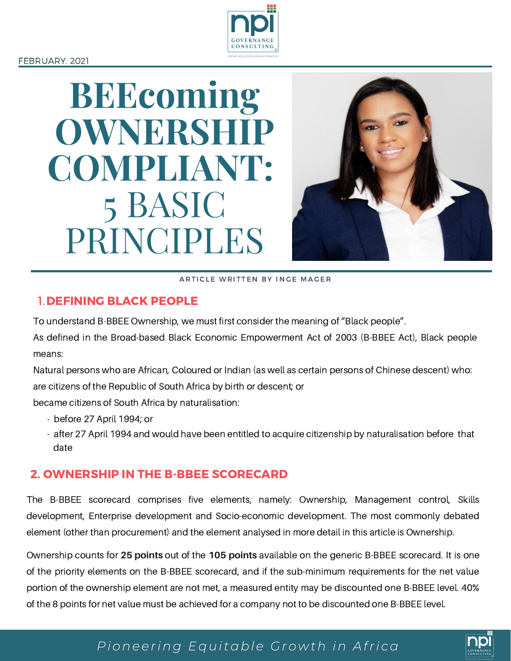#### FEBRUARY. 2021



# **BEEcoming OWNERSHIP COMPLIANT:** 5 BASIC PRINCIPLES



ARTICLE WRITTEN BY INGE MAGER

#### 1.DEFINING BLACK PEOPLE

To understand B-BBEE Ownership, we must first consider the meaning of "Black people".

As defined in the Broad-based Black Economic Empowerment Act of 2003 (B-BBEE Act), Black people means:

Natural persons who are African, Coloured or Indian (as well as certain persons of Chinese descent) who: are citizens of the Republic of South Africa by birth or descent; or

became citizens of South Africa by naturalisation:

- before 27 April 1994; or
- after 27 April 1994 and would have been entitled to acquire citizenship by naturalisation before that date

## 2. OWNERSHIP IN THE B-BBEE SCORECARD

The B-BBEE scorecard comprises five elements, namely: Ownership, Management control, Skills development, Enterprise development and Socio-economic development. The most commonly debated element (other than procurement) and the element analysed in more detail in this article is Ownership.

Ownership counts for **25 points** out of the **105 points** available on the generic B-BBEE scorecard. It is one of the priority elements on the B-BBEE scorecard, and if the sub-minimum requirements for the net value portion of the ownership element are not met, a measured entity may be discounted one B-BBEE level. 40% of the 8 points for net value must be achieved for a company not to be discounted one B-BBEE level.

# *Pioneering Equitable Growth in Afri ca*

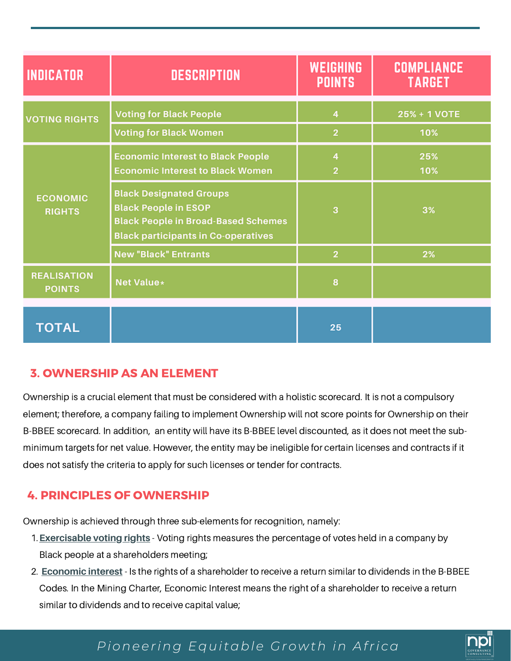| <b>INDICATOR</b>                    | <b>DESCRIPTION</b>                                                                                                                                        | <b>WEIGHING</b><br><b>POINTS</b>          | <b>COMPLIANCE</b><br><b>TARGET</b> |
|-------------------------------------|-----------------------------------------------------------------------------------------------------------------------------------------------------------|-------------------------------------------|------------------------------------|
| <b>VOTING RIGHTS</b>                | <b>Voting for Black People</b>                                                                                                                            | $\overline{4}$<br>$\overline{2}$          | 25% + 1 VOTE<br>10%                |
| <b>ECONOMIC</b><br><b>RIGHTS</b>    | <b>Voting for Black Women</b><br><b>Economic Interest to Black People</b><br><b>Economic Interest to Black Women</b>                                      | $\overline{\mathbf{4}}$<br>$\overline{2}$ | 25%<br>10%                         |
|                                     | <b>Black Designated Groups</b><br><b>Black People in ESOP</b><br><b>Black People in Broad-Based Schemes</b><br><b>Black participants in Co-operatives</b> | 3                                         | 3%                                 |
|                                     | <b>New "Black" Entrants</b>                                                                                                                               | $\overline{2}$                            | 2%                                 |
| <b>REALISATION</b><br><b>POINTS</b> | <b>Net Value*</b>                                                                                                                                         | 8                                         |                                    |
| <b>TOTAL</b>                        |                                                                                                                                                           | 25                                        |                                    |

## 3. OWNERSHIP AS AN ELEMENT

Ownership is a crucial element that must be considered with a holistic scorecard. It is not a compulsory element; therefore, a company failing to implement Ownership will not score points for Ownership on their B-BBEE scorecard. In addition, an entity will have its B-BBEE level discounted, as it does not meet the subminimum targets for net value. However, the entity may be ineligible for certain licenses and contracts if it does not satisfy the criteria to apply for such licenses or tender for contracts.

## 4. PRINCIPLES OF OWNERSHIP

Ownership is achieved through three sub-elements for recognition, namely:

- **Exercisable voting rights** Voting rights measures the percentage of votes held in a company by 1. Black people at a shareholders meeting;
- **Economic interest** Is the rights of a shareholder to receive a return similar to dividends in the B-BBEE 2. Codes. In the Mining Charter, Economic Interest means the right of a shareholder to receive a return similar to dividends and to receive capital value;

# *Pioneering Equitable Growth in Afri ca*